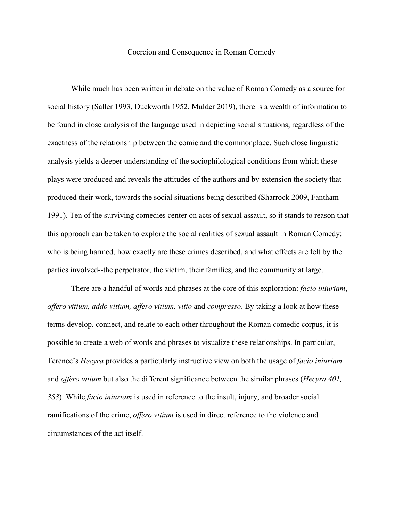## Coercion and Consequence in Roman Comedy

While much has been written in debate on the value of Roman Comedy as a source for social history (Saller 1993, Duckworth 1952, Mulder 2019), there is a wealth of information to be found in close analysis of the language used in depicting social situations, regardless of the exactness of the relationship between the comic and the commonplace. Such close linguistic analysis yields a deeper understanding of the sociophilological conditions from which these plays were produced and reveals the attitudes of the authors and by extension the society that produced their work, towards the social situations being described (Sharrock 2009, Fantham 1991). Ten of the surviving comedies center on acts of sexual assault, so it stands to reason that this approach can be taken to explore the social realities of sexual assault in Roman Comedy: who is being harmed, how exactly are these crimes described, and what effects are felt by the parties involved--the perpetrator, the victim, their families, and the community at large.

There are a handful of words and phrases at the core of this exploration: *facio iniuriam*, *offero vitium, addo vitium, affero vitium, vitio* and *compresso*. By taking a look at how these terms develop, connect, and relate to each other throughout the Roman comedic corpus, it is possible to create a web of words and phrases to visualize these relationships. In particular, Terence's *Hecyra* provides a particularly instructive view on both the usage of *facio iniuriam*  and *offero vitium* but also the different significance between the similar phrases (*Hecyra 401, 383*). While *facio iniuriam* is used in reference to the insult, injury, and broader social ramifications of the crime, *offero vitium* is used in direct reference to the violence and circumstances of the act itself.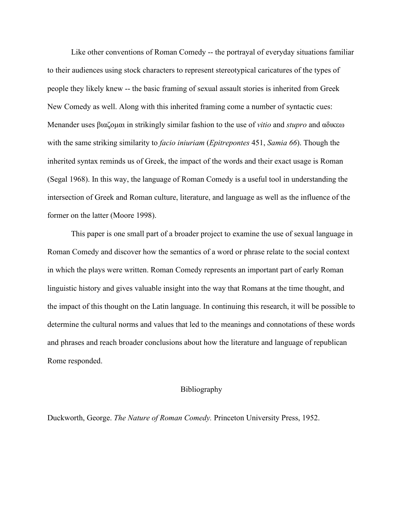Like other conventions of Roman Comedy -- the portrayal of everyday situations familiar to their audiences using stock characters to represent stereotypical caricatures of the types of people they likely knew -- the basic framing of sexual assault stories is inherited from Greek New Comedy as well. Along with this inherited framing come a number of syntactic cues: Menander uses βιαζομαι in strikingly similar fashion to the use of *vitio* and *stupro* and αδικεω with the same striking similarity to *facio iniuriam* (*Epitrepontes* 451, *Samia 66*). Though the inherited syntax reminds us of Greek, the impact of the words and their exact usage is Roman (Segal 1968). In this way, the language of Roman Comedy is a useful tool in understanding the intersection of Greek and Roman culture, literature, and language as well as the influence of the former on the latter (Moore 1998).

This paper is one small part of a broader project to examine the use of sexual language in Roman Comedy and discover how the semantics of a word or phrase relate to the social context in which the plays were written. Roman Comedy represents an important part of early Roman linguistic history and gives valuable insight into the way that Romans at the time thought, and the impact of this thought on the Latin language. In continuing this research, it will be possible to determine the cultural norms and values that led to the meanings and connotations of these words and phrases and reach broader conclusions about how the literature and language of republican Rome responded.

## Bibliography

Duckworth, George. *The Nature of Roman Comedy.* Princeton University Press, 1952.